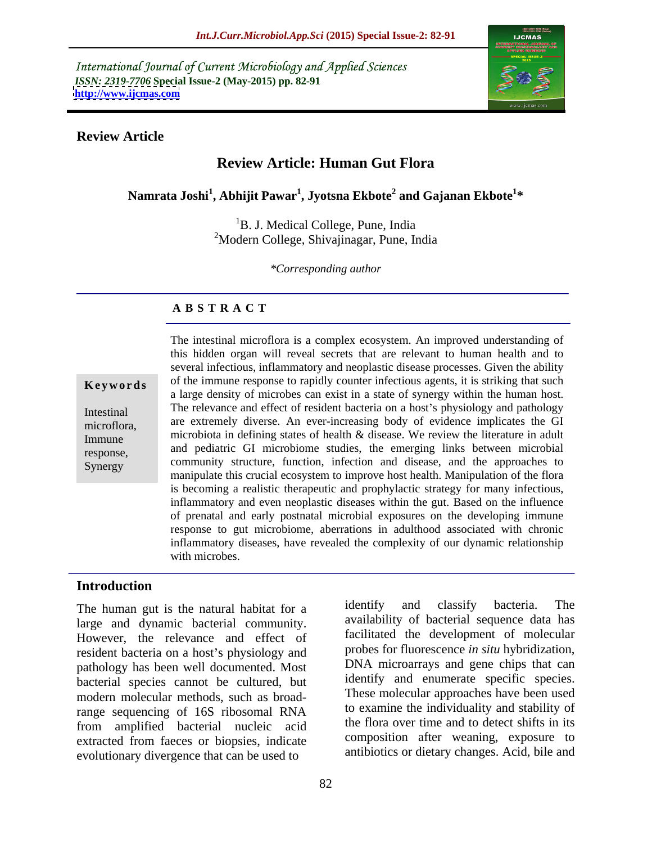International Journal of Current Microbiology and Applied Sciences *ISSN: 2319-7706* **Special Issue-2 (May-2015) pp. 82-91 <http://www.ijcmas.com>**



### **Review Article**

# **Review Article: Human Gut Flora**

**Namrata Joshi<sup>1</sup> , Abhijit Pawar<sup>1</sup> , Jyotsna Ekbote<sup>2</sup> and Gajanan Ekbote<sup>1</sup> \***

<sup>1</sup>B. J. Medical College, Pune, India <sup>2</sup>Modern College, Shivajinagar, Pune, India

*\*Corresponding author*

### **A B S T R A C T**

Synergy

The intestinal microflora is a complex ecosystem. An improved understanding of this hidden organ will reveal secrets that are relevant to human health and to several infectious, inflammatory and neoplastic disease processes. Given the ability of the immune response to rapidly counter infectious agents, it is striking that such **Ke ywo rds** a large density of microbes can exist in a state of synergy within the human host. Intestinal The relevance and effect of resident bacteria on a host's physiology and pathology are extremely diverse. An ever-increasing body of evidence implicates the GI microflora, Immune microbiota in defining states of health & disease. We review the literature in adult and pediatric GI microbiome studies, the emerging links between microbial response, community structure, function, infection and disease, and the approaches to manipulate this crucial ecosystem to improve host health. Manipulation of the flora is becoming a realistic therapeutic and prophylactic strategy for many infectious, inflammatory and even neoplastic diseases within the gut. Based on the influence of prenatal and early postnatal microbial exposures on the developing immune response to gut microbiome, aberrations in adulthood associated with chronic inflammatory diseases, have revealed the complexity of our dynamic relationship with microbes.

### **Introduction**

large and dynamic bacterial community. However, the relevance and effect of resident bacteria on a host's physiology and pathology has been well documented. Most bacterial species cannot be cultured, but modern molecular methods, such as broadrange sequencing of 16S ribosomal RNA from amplified bacterial nucleic acid extracted from faeces or biopsies, indicate evolutionary divergence that can be used to

The human gut is the natural habitat for a identify and classify bacteria. The identify and classify bacteria. The availability of bacterial sequence data has facilitated the development of molecular probes for fluorescence *in situ* hybridization, DNA microarrays and gene chips that can identify and enumerate specific species. These molecular approaches have been used to examine the individuality and stability of the flora over time and to detect shifts in its composition after weaning, exposure to antibiotics or dietary changes. Acid, bile and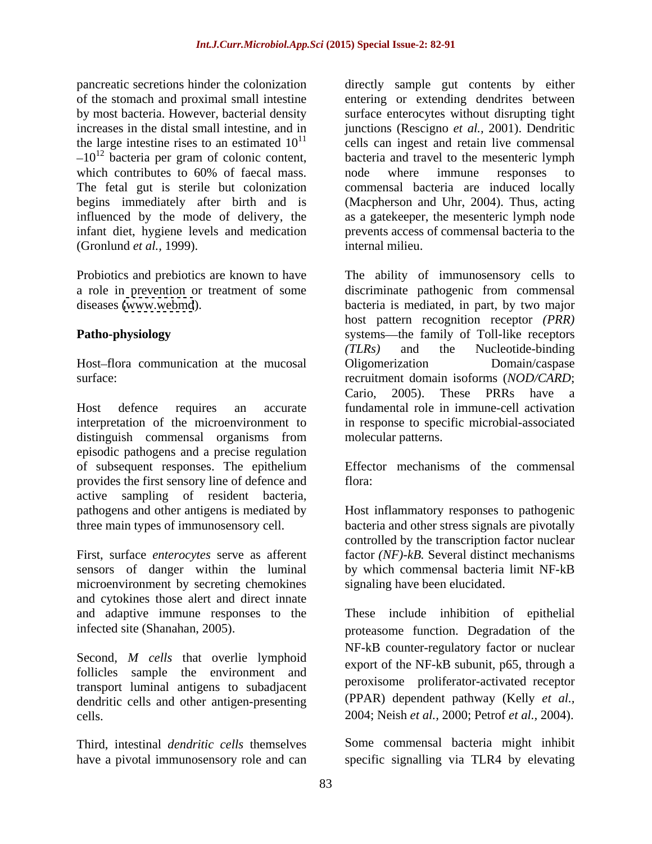pancreatic secretions hinder the colonization directly sample gut contents by either  $-10^{12}$  bacteria per gram of colonic content,<br>which contributes to 60% of faecal mass. The fetal gut is sterile but colonization begins immediately after birth and is infant diet, hygiene levels and medication (Gronlund *et al.,* 1999).

Host-flora communication at the mucosal Oligomerization Domain/caspase

Host defence requires an accurate fundamental role in immune-cell activation interpretation of the microenvironment to in response to specific microbial-associated distinguish commensal organisms from episodic pathogens and a precise regulation of subsequent responses. The epithelium provides the first sensory line of defence and active sampling of resident bacteria, pathogens and other antigens is mediated by Hostinflammatory responses to pathogenic three main types of immunosensory cell. bacteria and other stress signals are pivotally

First, surface *enterocytes* serve as afferent sensors of danger within the luminal microenvironment by secreting chemokines and cytokines those alert and direct innate and adaptive immune responses to the

Second*, M cells* that overlie lymphoid follicles sample the environment and transport luminal antigens to subadjacent dendritic cells and other antigen-presenting cells. 2004; Neish *et al.,* 2000; Petrof *et al.,* 2004).

have a pivotal immunosensory role and can specific signalling via TLR4 by elevating

of the stomach and proximal small intestine entering or extending dendrites between by most bacteria. However, bacterial density surface enterocytes without disrupting tight increases in the distal small intestine, and in junctions (Rescigno *et al.,* 2001). Dendritic the large intestine rises to an estimated  $10^{11}$  cells can ingest and retain live commensal which contributes to 60% of faecal mass. In mode where immune responses to influenced by the mode of delivery, the as a gatekeeper, the mesenteric lymph node bacteria and travel to the mesenteric lymph node where immune responses to commensal bacteria are induced locally (Macpherson and Uhr, 2004). Thus, acting prevents access of commensal bacteria to the internal milieu.

Probiotics and prebiotics are known to have The ability of immunosensory cells to a role in prevention or treatment of some discriminate pathogenic from commensal diseases [\(www.webmd](http://www.webmd)). bacteria is mediated, in part, by two major **Patho-physiology** systems—the family of Toll-like receptors surface: recruitment domain isoforms (*NOD/CARD*; host pattern recognition receptor *(PRR) (TLRs)* and the Nucleotide-binding Oligomerization Domain/caspase Cario, 2005). These PRRs have a molecular patterns.

> Effector mechanisms of the commensal flora: experience and the set of the set of the set of the set of the set of the set of the set of the set of the set of the set of the set of the set of the set of the set of the set of the set of the set of the set of th

controlled by the transcription factor nuclear factor *(NF)-kB.* Several distinct mechanisms by which commensal bacteria limit NF-kB signaling have been elucidated.

infected site (Shanahan, 2005). proteasome function. Degradation of the These include inhibition of epithelial NF-kB counter-regulatory factor or nuclear export of the NF-kB subunit, p65, through a peroxisome proliferator-activated receptor (PPAR) dependent pathway (Kelly *et al.,*

Third, intestinal *dendritic cells* themselves Some commensal bacteria might inhibit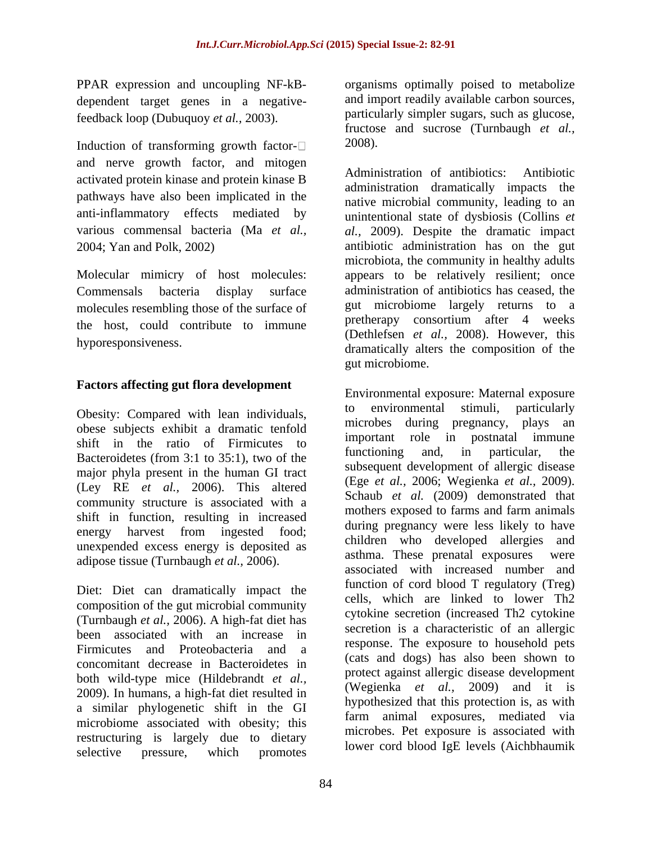dependent target genes in a negativefeedback loop (Dubuquoy *et al.,* 2003).

Induction of transforming growth factor- $\Box$  2008). and nerve growth factor, and mitogen<br>Administration of antibiotics: Antibiotic activated protein kinase and protein kinase B pathways have also been implicated in the

molecules resembling those of the surface of the host, could contribute to immune

## **Factors affecting gut flora development**

obese subjects exhibit a dramatic tenfold shift in the ratio of Firmicutes to  $\frac{100}{25(1)}$  the set of the functioning and, in particular, the Bacteroidetes (from 3:1 to 35:1), two of the major phyla present in the human GI tract<br>(Ege *et al.*, 2006; Wegienka *et al.*, 2009). (Ley RE *et al.*, 2006). This altered (Ege *et al.*, 2006; weglenka *et al.*, 2009).<br>Schaub *et al.* (2009) demonstrated that community structure is associated with a shift in function, resulting in increased energy harvest from ingested food; unexpended excess energy is deposited as adipose tissue (Turnbaugh *et al.,* 2006).

Diet: Diet can dramatically impact the composition of the gut microbial community (Turnbaugh *et al.,* 2006). A high-fat diet has been associated with an increase in Firmicutes and Proteobacteria and a concomitant decrease in Bacteroidetes in both wild-type mice (Hildebrandt *et al.,* 2009). In humans, a high-fat diet resulted in a similar phylogenetic shift in the GI microbiome associated with obesity; this restructuring is largely due to dietary selective pressure, which promotes

PPAR expression and uncoupling NF-kB- organisms optimally poised to metabolize and import readily available carbon sources, particularly simpler sugars, such as glucose, fructose and sucrose (Turnbaugh *et al.,* 2008).

anti-inflammatory effects mediated by unintentional state of dysbiosis (Collins *et*  various commensal bacteria (Ma *et al., al.,* 2009). Despite the dramatic impact 2004; Yan and Polk, 2002) antibiotic administration has on the gut Molecular mimicry of host molecules: appears to be relatively resilient; once Commensals bacteria display surface administration of antibiotics has ceased, the hyporesponsiveness.<br>dramatically alters the composition of the Administration of antibiotics: administration dramatically impacts the native microbial community, leading to an microbiota, the community in healthy adults gut microbiome largely returns to a pretherapy consortium after 4 weeks (Dethlefsen *et al.,* 2008). However, this gut microbiome.

Obesity: Compared with lean individuals, to environmental stimuli, particularly Environmental exposure: Maternal exposure to environmental stimuli, particularly microbes during pregnancy, plays an important role in postnatal immune functioning and, in particular, the subsequent development of allergic disease (Ege *et al.,* 2006; Wegienka *et al.,* 2009).Schaub *et al.* (2009) demonstrated that mothers exposed to farms and farm animals during pregnancy were less likely to have children who developed allergies and asthma. These prenatal exposures were associated with increased number and function of cord blood T regulatory (Treg) cells, which are linked to lower Th2 cytokine secretion (increased Th2 cytokine secretion is a characteristic of an allergic response. The exposure to household pets (cats and dogs) has also been shown to protect against allergic disease development (Wegienka *et al.,* 2009) and it is hypothesized that this protection is, as with farm animal exposures, mediated via microbes. Pet exposure is associated with lower cord blood IgE levels (Aichbhaumik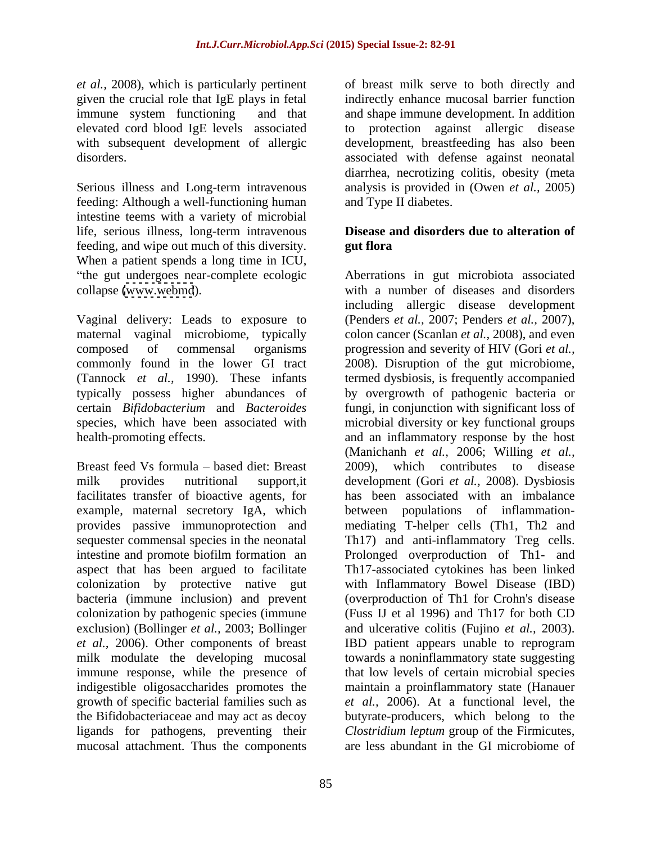*et al.,* 2008), which is particularly pertinent

feeding: Although a well-functioning human intestine teems with a variety of microbial life, serious illness, long-term intravenous feeding, and wipe out much of this diversity. When a patient spends a long time in ICU,

Vaginal delivery: Leads to exposure to maternal vaginal microbiome, typically

Breast feed Vs formula – based diet: Breast 2009), colonization by pathogenic species (immune exclusion) (Bollinger  $et al., 2003$ ; Bollinger indigestible oligosaccharides promotes the growth of specific bacterial families such as ligands for pathogens, preventing their mucosal attachment. Thus the components

given the crucial role that IgE plays in fetal indirectly enhance mucosal barrier function immune system functioning and that and shape immune development. In addition elevated cord blood IgE levels associated to protection against allergic disease with subsequent development of allergic development, breastfeeding has also been disorders. associated with defense against neonatal Serious illness and Long-term intravenous analysis is provided in (Owen *et al.,* 2005) of breast milk serve to both directly and diarrhea, necrotizing colitis, obesity (meta and Type II diabetes.

## **Disease and disorders due to alteration of gut flora**

the gut undergoes near-complete ecologic Aberrations in gut microbiota associated collapse [\(www.webmd](http://www.webmd)). with a number of diseases and disorders composed of commensal organisms progression and severity of HIV (Gori *et al.,* commonly found in the lower GI tract 2008). Disruption of the gut microbiome, (Tannock *et al.,* 1990). These infants termed dysbiosis, is frequently accompanied typically possess higher abundances of by overgrowth of pathogenic bacteria or certain *Bifidobacterium* and *Bacteroides*  fungi, in conjunction with significant loss of species, which have been associated with microbial diversity or key functional groups health-promoting effects. and an inflammatory response by the host milk provides nutritional support, it development (Gori *et al.*, 2008). Dysbiosis facilitates transfer of bioactive agents, for hasbeen associated with an imbalance example, maternal secretory IgA, which between populations of inflammation provides passive immunoprotection and mediating T-helper cells (Th1, Th2 and sequester commensal species in the neonatal Th17) and anti-inflammatory Treg cells. intestine and promote biofilm formation an Prolonged overproduction of Th1- and aspect that has been argued to facilitate Th17-associated cytokines has been linked colonization by protective native gut with Inflammatory Bowel Disease (IBD) bacteria (immune inclusion) and prevent (overproduction of Th1 for Crohn's disease exclusion) (Bollinger *et al.,* 2003; Bollinger and ulcerative colitis (Fujino *et al.,* 2003). *et al.,* 2006). Other components of breast IBD patient appears unable to reprogram milk modulate the developing mucosal towards a noninflammatory state suggesting immune response, while the presence of that low levels of certain microbial species the Bifidobacteriaceae and may act as decoy butyrate-producers, which belong to the including allergic disease development (Penders *et al.,* 2007; Penders *et al.,* 2007), colon cancer (Scanlan *et al.,* 2008), and even (Manichanh *et al.,* 2006; Willing *et al.,* which contributes to disease mediating T-helper cells (Th1, Th2 and Th17) and anti-inflammatory Treg cells. (Fuss IJ et al 1996) and Th17 for both CD maintain a proinflammatory state (Hanauer *et al.,* 2006). At a functional level, the *Clostridium leptum* group of the Firmicutes, are less abundant in the GI microbiome of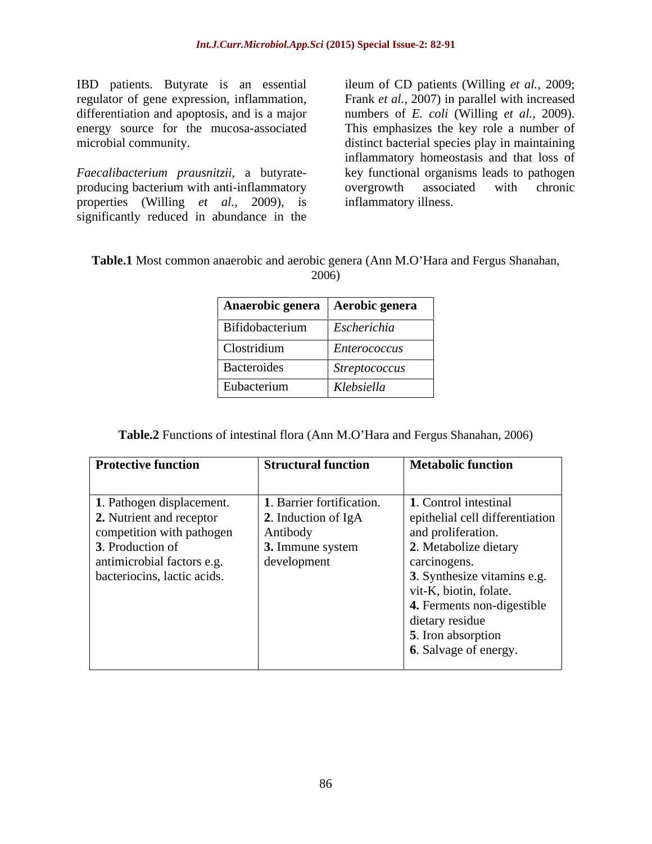*Faecalibacterium prausnitzii*, a butyrate producing bacterium with anti-inflammatory properties (Willing *et al.,* 2009), is significantly reduced in abundance in the

IBD patients. Butyrate is an essential ileum of CD patients (Willing *et al.,* 2009; regulator of gene expression, inflammation, Frank *et al.*, 2007) in parallel with increased differentiation and apoptosis, and is a major numbers of *E. coli* (Willing *et al.,* 2009). energy source for the mucosa-associated This emphasizes the key role a number of microbial community. distinct bacterial species play in maintaining inflammatory homeostasis and that loss of key functional organisms leads to pathogen overgrowth associated with chronic inflammatory illness.

| Table.1 Most common anaerobic and aerobic genera (Ann M.O'Hara a<br>and Fergus Shanahan, |  |  |
|------------------------------------------------------------------------------------------|--|--|
| 2006)                                                                                    |  |  |

| Anaerobic genera   Aerobic genera |               |
|-----------------------------------|---------------|
| Bifidobacterium                   | Escherichia   |
| Clostridium                       | Enterococcus  |
| Bacteroides                       | Streptococcus |
| Eubacterium                       | Klebsiella    |

**Table.2** Functions of intestinal flora (Ann M.O'Hara and Fergus Shanahan, 2006)

| <b>Protective function</b>  | <b>Structural function</b>                | <b>Metabolic function</b>       |
|-----------------------------|-------------------------------------------|---------------------------------|
|                             |                                           |                                 |
| 1. Pathogen displacement.   | 1. Barrier fortification.                 | 1. Control intestinal           |
| 2. Nutrient and receptor    | 2. Induction of IgA                       | epithelial cell differentiation |
| competition with pathogen   | Antibody                                  | and proliferation.              |
| 3. Production of            | $\overline{\phantom{a}}$ 3. Immune system | 2. Metabolize dietary           |
| antimicrobial factors e.g.  | development                               | carcinogens.                    |
| bacteriocins, lactic acids. |                                           | 3. Synthesize vitamins e.g.     |
|                             |                                           | vit-K, biotin, folate.          |
|                             |                                           | 4. Ferments non-digestible      |
|                             |                                           | dietary residue                 |
|                             |                                           | <b>5.</b> Iron absorption       |
|                             |                                           | 6. Salvage of energy.           |
|                             |                                           |                                 |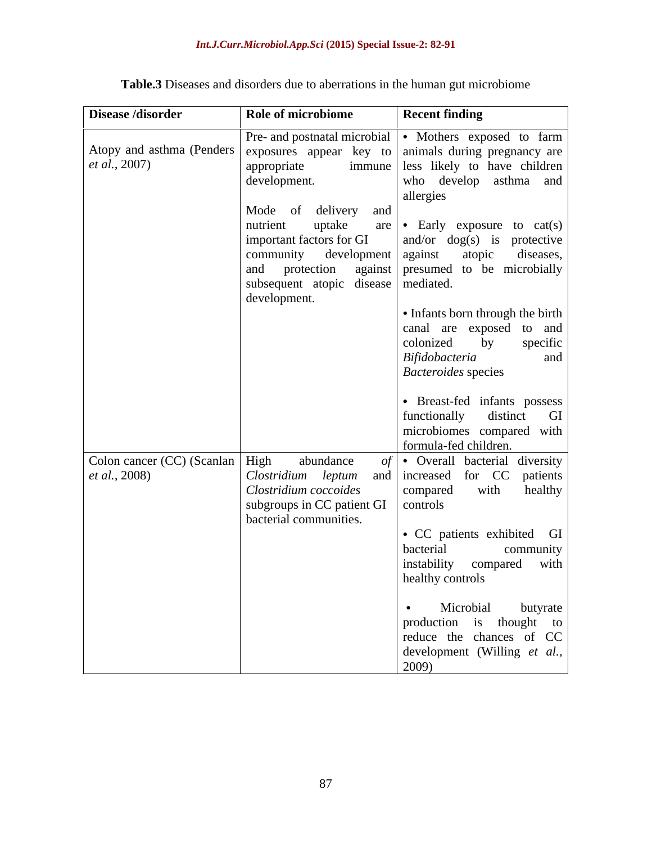| Pre- and postnatal microbial • Mothers exposed to farm<br>Atopy and asthma (Penders   exposures appear key to   animals during pregnancy are  <br><i>et al.</i> , 2007)<br>appropriate<br>development.<br>Mode of delivery and<br>nutrient<br>uptake<br>important factors for GI<br>community<br>and protection against presumed to be microbially<br>subsequent atopic disease mediated.<br>development. |                                                                    |
|-----------------------------------------------------------------------------------------------------------------------------------------------------------------------------------------------------------------------------------------------------------------------------------------------------------------------------------------------------------------------------------------------------------|--------------------------------------------------------------------|
|                                                                                                                                                                                                                                                                                                                                                                                                           |                                                                    |
|                                                                                                                                                                                                                                                                                                                                                                                                           |                                                                    |
|                                                                                                                                                                                                                                                                                                                                                                                                           | immune less likely to have children                                |
|                                                                                                                                                                                                                                                                                                                                                                                                           | who develop asthma and                                             |
|                                                                                                                                                                                                                                                                                                                                                                                                           | allergies                                                          |
|                                                                                                                                                                                                                                                                                                                                                                                                           |                                                                    |
|                                                                                                                                                                                                                                                                                                                                                                                                           | are $\bullet$ Early exposure to cat(s)                             |
|                                                                                                                                                                                                                                                                                                                                                                                                           | $ $ and/or $\log(s)$ is protective                                 |
|                                                                                                                                                                                                                                                                                                                                                                                                           | development against atopic diseases,                               |
|                                                                                                                                                                                                                                                                                                                                                                                                           |                                                                    |
|                                                                                                                                                                                                                                                                                                                                                                                                           |                                                                    |
|                                                                                                                                                                                                                                                                                                                                                                                                           |                                                                    |
|                                                                                                                                                                                                                                                                                                                                                                                                           | • Infants born through the birth                                   |
|                                                                                                                                                                                                                                                                                                                                                                                                           | canal are exposed to and                                           |
|                                                                                                                                                                                                                                                                                                                                                                                                           | colonized by<br>specific                                           |
|                                                                                                                                                                                                                                                                                                                                                                                                           | and<br>Bifidobacteria                                              |
|                                                                                                                                                                                                                                                                                                                                                                                                           | <b>Bacteroides</b> species                                         |
|                                                                                                                                                                                                                                                                                                                                                                                                           |                                                                    |
|                                                                                                                                                                                                                                                                                                                                                                                                           | · Breast-fed infants possess                                       |
|                                                                                                                                                                                                                                                                                                                                                                                                           | functionally distinct GI                                           |
|                                                                                                                                                                                                                                                                                                                                                                                                           | microbiomes compared with                                          |
|                                                                                                                                                                                                                                                                                                                                                                                                           | formula-fed children.                                              |
| Colon cancer (CC) (Scanlan   High<br>abundance                                                                                                                                                                                                                                                                                                                                                            | $\left  \cdot \right $ Overall bacterial diversity                 |
| <i>et al.</i> , 2008)<br><i>Clostridium leptum</i> and increased for CC patients                                                                                                                                                                                                                                                                                                                          |                                                                    |
| Clostridium coccoides                                                                                                                                                                                                                                                                                                                                                                                     | healthy<br>with<br>compared                                        |
| subgroups in CC patient GI $\vert$ controls                                                                                                                                                                                                                                                                                                                                                               |                                                                    |
| bacterial communities.                                                                                                                                                                                                                                                                                                                                                                                    |                                                                    |
|                                                                                                                                                                                                                                                                                                                                                                                                           | • CC patients exhibited GI                                         |
|                                                                                                                                                                                                                                                                                                                                                                                                           | bacterial<br>community                                             |
|                                                                                                                                                                                                                                                                                                                                                                                                           | instability compared with                                          |
|                                                                                                                                                                                                                                                                                                                                                                                                           | healthy controls                                                   |
|                                                                                                                                                                                                                                                                                                                                                                                                           | • Microbial butyrate                                               |
|                                                                                                                                                                                                                                                                                                                                                                                                           | production is thought to                                           |
|                                                                                                                                                                                                                                                                                                                                                                                                           |                                                                    |
|                                                                                                                                                                                                                                                                                                                                                                                                           | reduce the chances of $CC$<br>development (Willing <i>et al.</i> , |
|                                                                                                                                                                                                                                                                                                                                                                                                           | 2009)                                                              |

**Table.3** Diseases and disorders due to aberrations in the human gut microbiome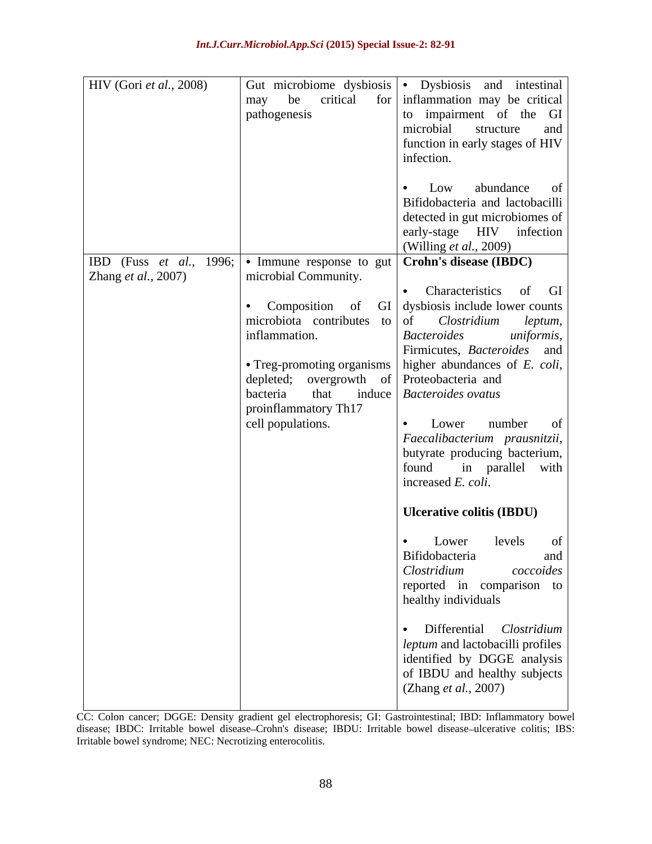| HIV (Gori et al., 2008)     |                                                | Gut microbiome dysbiosis • Dysbiosis and intestinal                                     |
|-----------------------------|------------------------------------------------|-----------------------------------------------------------------------------------------|
|                             |                                                | may be critical for inflammation may be critical                                        |
|                             | pathogenesis                                   | to impairment of the GI                                                                 |
|                             |                                                | microbial structure and                                                                 |
|                             |                                                | function in early stages of HIV                                                         |
|                             |                                                | infection.                                                                              |
|                             |                                                |                                                                                         |
|                             |                                                | $\bullet$ Low abundance of                                                              |
|                             |                                                | Bifidobacteria and lactobacilli                                                         |
|                             |                                                |                                                                                         |
|                             |                                                | detected in gut microbiomes of                                                          |
|                             |                                                | early-stage HIV infection                                                               |
|                             |                                                | (Willing <i>et al.</i> , 2009)                                                          |
|                             |                                                | IBD (Fuss <i>et al.</i> , 1996; $\cdot$ Immune response to gut   Crohn's disease (IBDC) |
| Zhang <i>et al.</i> , 2007) | microbial Community.                           |                                                                                         |
|                             |                                                | • Characteristics of GI                                                                 |
|                             |                                                | • Composition of $GI$ dysbiosis include lower counts                                    |
|                             |                                                | microbiota contributes to $\sigma$ of <i>Clostridium leptum</i> ,                       |
|                             | inflammation.                                  | Bacteroides<br>uniformis,                                                               |
|                             |                                                | Firmicutes, <i>Bacteroides</i> and                                                      |
|                             |                                                | • Treg-promoting organisms   higher abundances of $E$ . coli,                           |
|                             | depleted; overgrowth of Proteobacteria and     |                                                                                         |
|                             | bacteria that induce <i>Bacteroides ovatus</i> |                                                                                         |
|                             | proinflammatory Th17                           |                                                                                         |
|                             | cell populations.                              | $\bullet$ Lower number of                                                               |
|                             |                                                | Faecalibacterium prausnitzii,                                                           |
|                             |                                                | butyrate producing bacterium,                                                           |
|                             |                                                | found in parallel with                                                                  |
|                             |                                                | increased $E.$ coli.                                                                    |
|                             |                                                |                                                                                         |
|                             |                                                | Ulcerative colitis (IBDU)                                                               |
|                             |                                                |                                                                                         |
|                             |                                                | Lower levels of                                                                         |
|                             |                                                | Bifidobacteria<br>and                                                                   |
|                             |                                                | Clostridium<br>coccoides                                                                |
|                             |                                                | reported in comparison to                                                               |
|                             |                                                | healthy individuals                                                                     |
|                             |                                                |                                                                                         |
|                             |                                                | · Differential Clostridium                                                              |
|                             |                                                |                                                                                         |
|                             |                                                | leptum and lactobacilli profiles                                                        |
|                             |                                                | identified by DGGE analysis                                                             |
|                             |                                                | of IBDU and healthy subjects                                                            |
|                             |                                                | (Zhang et al., 2007)                                                                    |
|                             |                                                |                                                                                         |

CC: Colon cancer; DGGE: Density gradient gel electrophoresis; GI: Gastrointestinal; IBD: Inflammatory bowel disease; IBDC: Irritable bowel disease-Crohn's disease; IBDU: Irritable bowel disease-ulcerative colitis; IBS: Irritable bowel syndrome; NEC: Necrotizing enterocolitis.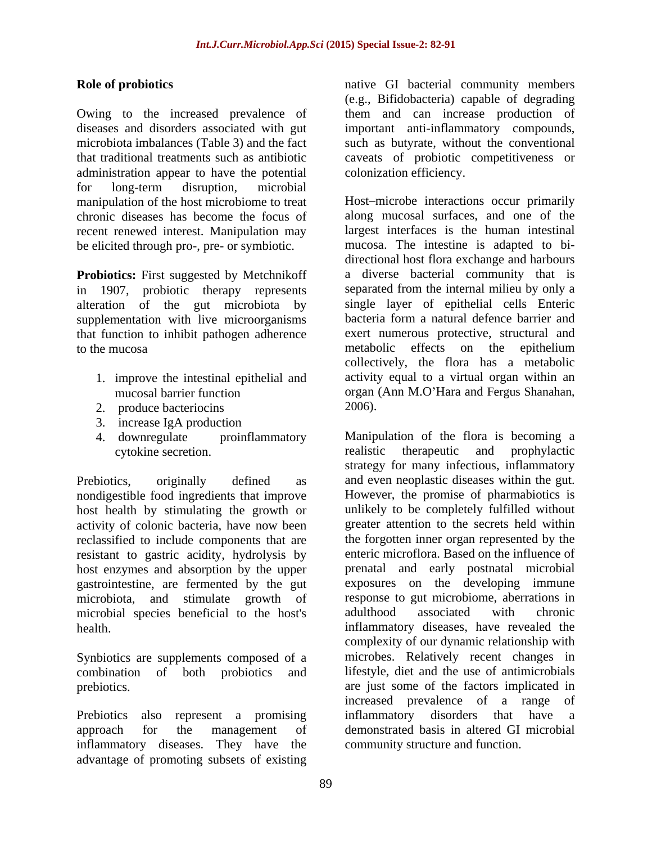Owing to the increased prevalence of them and can increase production of diseases and disorders associated with gut important anti-inflammatory compounds, microbiota imbalances (Table 3) and the fact such as butyrate, without the conventional that traditional treatments such as antibiotic caveats of probiotic competitiveness or administration appear to have the potential for long-term disruption, microbial manipulation of the host microbiome to treat chronic diseases has become the focus of recent renewed interest. Manipulation may be elicited through pro-, pre- or symbiotic.

**Probiotics:** First suggested by Metchnikoff in 1907, probiotic therapy represents alteration of the gut microbiota by single layer of epithelial cells Enteric<br>supplementation with live microorganisms bacteria form a natural defence barrier and supplementation with live microorganisms that function to inhibit pathogen adherence

- 1. improve the intestinal epithelial and
- 2. produce bacteriocins 2006).
- 3. increase IgA production
- 

nondigestible food ingredients that improve host health by stimulating the growth or activity of colonic bacteria, have now been reclassified to include components that are resistant to gastric acidity, hydrolysis by gastrointestine, are fermented by the gut microbial species beneficial to the host's

Synbiotics are supplements composed of a<br>combination of both probiotics and

inflammatory diseases. They have the advantage of promoting subsets of existing

**Role of probiotics**  native GI bacterial community members (e.g., Bifidobacteria) capable of degrading colonization efficiency.

to the mucosa metabolic effects on the epithelium mucosal barrier function organ (Ann M.O'Hara and Fergus Shanahan, Host-microbe interactions occur primarily along mucosal surfaces, and one of the largest interfaces is the human intestinal mucosa. The intestine is adapted to bi directional host flora exchange and harbours a diverse bacterial community that is separated from the internal milieu by only a single layer of epithelial cells Enteric bacteria form a natural defence barrier and exert numerous protective, structural and collectively, the flora has a metabolic activity equal to a virtual organ within an organ (Ann M.O'Hara and Fergus Shanahan,<br>2006).

4. downregulate proinflammatory Manipulation of the flora is becoming a cytokine secretion. The realistic therapeutic and prophylactic Prebiotics, originally defined as and even neoplastic diseases within the gut. host enzymes and absorption by the upper prenatal and early postnatal microbial microbiota, and stimulate growth of response to gut microbiome, aberrations in health. **inflammatory** diseases, have revealed the combination of both probiotics and lifestyle, diet and the use of antimicrobials prebiotics. are just some of the factors implicated in Prebiotics also represent a promising inflammatory disorders that have a approach for the management of demonstrated basis in altered GI microbial realistic therapeutic and prophylactic strategy for many infectious, inflammatory However, the promise of pharmabiotics is unlikely to be completely fulfilled without greater attention to the secrets held within the forgotten inner organ represented by the enteric microflora. Based on the influence of exposures on the developing immune adulthood associated with chronic complexity of our dynamic relationship with microbes. Relatively recent changes in increased prevalence of a range of community structure and function.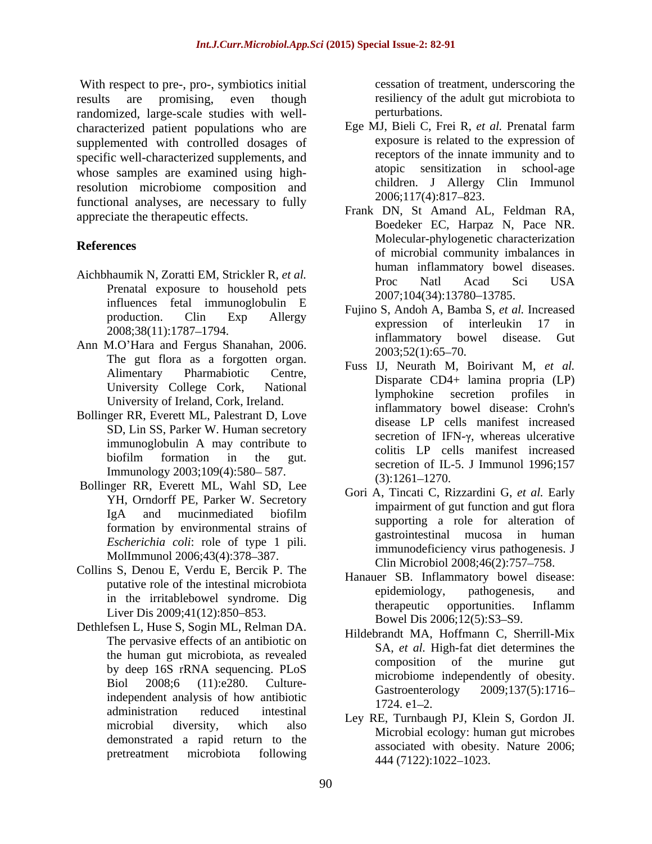With respect to pre-, pro-, symbiotics initial results are promising, even though resiliency of t<br>randomized large-scale studies with well-<br>perturbations. randomized, large-scale studies with well characterized patient populations who are supplemented with controlled dosages of specific well-characterized supplements, and whose samples are examined using highresolution microbiome composition and children. J Allergy<br>functional analyses are necessary to fully  $2006;117(4):817-823$ . functional analyses, are necessary to fully appreciate the therapeutic effects.

- Aichbhaumik N, Zoratti EM, Strickler R, *et al.* Proc Natl Acad Sci USA Prenatal exposure to household pets<br>2007;104(34):13780-13785. influences fetal immunoglobulin E
- The gut flora as a forgotten organ. University of Ireland, Cork, Ireland.
- Bollinger RR, Everett ML, Palestrant D, Love SD, Lin SS, Parker W. Human secretory immunoglobulin A may contribute to Immunology 2003;109(4):580–587. Secretion of IE-<br>
(3):1261–1270.
- Bollinger RR, Everett ML, Wahl SD, Lee YH, Orndorff PE, Parker W. Secretory formation by environmental strains of *Escherichia coli*: role of type 1 pili. MolImmunol 2006;43(4):378-387.
- Collins S, Denou E, Verdu E, Bercik P. The Liver Dis 2009;41(12):850–853.
- Dethlefsen L, Huse S, Sogin ML, Relman DA. The pervasive effects of an antibiotic on by deep 16S rRNA sequencing. PLoS administration reduced intestinal  $I_{\text{CUT}}$   $R_{\text{D}}$   $R_{\text{L}}$   $R_{\text{L}}$   $R_{\text{L}}$   $R_{\text{L}}$   $R_{\text{L}}$   $R_{\text{L}}$   $R_{\text{L}}$   $R_{\text{L}}$   $R_{\text{L}}$   $R_{\text{L}}$   $R_{\text{L}}$   $R_{\text{L}}$   $R_{\text{L}}$   $R_{\text{L}}$   $R_{\text{L}}$   $R_{\text{L}}$   $R_{\text{$ demonstrated a rapid return to the

cessation of treatment, underscoring the resiliency of the adult gut microbiota to perturbations.

- Ege MJ, Bieli C, Frei R, *et al.* Prenatal farm exposure is related to the expression of receptors of the innate immunity and to atopic sensitization in school-age children. J Allergy Clin Immunol 2006;117(4):817 823.
- **References**<br>
of microbial community imbalances in Frank DN, St Amand AL, Feldman RA, Boedeker EC, Harpaz N, Pace NR. Molecular-phylogenetic characterization human inflammatory bowel diseases. Proc Natl Acad Sci USA 2007;104(34):13780–13785.
- production. Clin Exp Allergy runno 5, Andon A, Bannoa 5, et al. mercasca  $2008;38(11):1787-1794.$ Ann M.O'Hara and Fergus Shanahan, 2006.<br>
The milliam and Sergus Shanahan, 2006.<br>
2003;52(1):65–70. Fujino S, Andoh A, Bamba S, *et al.* Increased expression of interleukin 17 in inflammatory bowel disease.  $2003;52(1):65-70.$ 
	- Alimentary Pharmabiotic Centre,  $\overrightarrow{AB}$  Disperses  $CD4 + \overrightarrow{b}$  Disperses  $CD4 + \overrightarrow{b}$ University College Cork, National Displace CD4+ lanting propria (LT) biofilm formation in the gut.  $\frac{1}{2}$  contains the contract merchange increased Fuss IJ, Neurath M, Boirivant M, *et al.* Disparate CD4+ lamina propria (LP) lymphokine secretion profiles in inflammatory bowel disease: Crohn's disease LP cells manifest increased secretion of IFN- $\gamma$ , whereas ulcerative colitis LP cells manifest increased secretion of IL-5. J Immunol 1996;157  $(3):1261-1270.$
	- IgA and mucinmediated biofilm **information** and the surfaction of Gori A, Tincati C, Rizzardini G, *et al.* Early impairment of gut function and gut flora supporting a role for alteration of gastrointestinal mucosa in human immunodeficiency virus pathogenesis. J Clin Microbiol 2008;46(2):757-758.
	- putative role of the intestinal microbiota epidemiology, pathogenesis, and putative intestinal microbiota in the irritablebowel syndrome. Dig<br>therapeutic opportunities. Inflamm Hanauer SB. Inflammatory bowel disease: epidemiology, pathogenesis, and therapeutic opportunities. Inflamm Bowel Dis 2006;12(5):S3-S9.
	- the human gut microbiota, as revealed<br>composition of the murine gut Biol  $2008;6$   $(11):e280$ . Culture-<br>Contractive decay  $2000:127(5):1716$ ITTLESS. Culture-<br>
	ITTLESS. Culture-<br>
	Gastroenterology 2009;137(5):1716-<br>
	1724. e1-2. Hildebrandt MA, Hoffmann C, Sherrill-Mix SA, *et al.* High-fat diet determines the composition of the murine gut microbiome independently of obesity. Gastroenterology 2009;137(5):1716  $1724. e1 - 2.$
	- microbial diversity, which also  $\frac{L(y)}{M}$  and  $\frac{L(y)}{M}$  and  $\frac{M(x)}{M}$  and  $\frac{M(x)}{M}$  are  $\frac{M(x)}{M}$  and  $\frac{M(x)}{M}$  and  $\frac{M(x)}{M}$  are  $\frac{M(x)}{M}$  and  $\frac{M(x)}{M}$  are  $\frac{M(x)}{M}$  and  $\frac{M(x)}{M}$  are  $\frac{M(x)}{M}$  a pretreatment microbiota following  $\frac{144}{444}$   $\frac{(7122) \cdot 1022}{1022}$ Ley RE, Turnbaugh PJ, Klein S, Gordon JI. Microbial ecology: human gut microbes associated with obesity. Nature 2006;<br>444 (7122):1022-1023. 444 (7122):1022 1023.